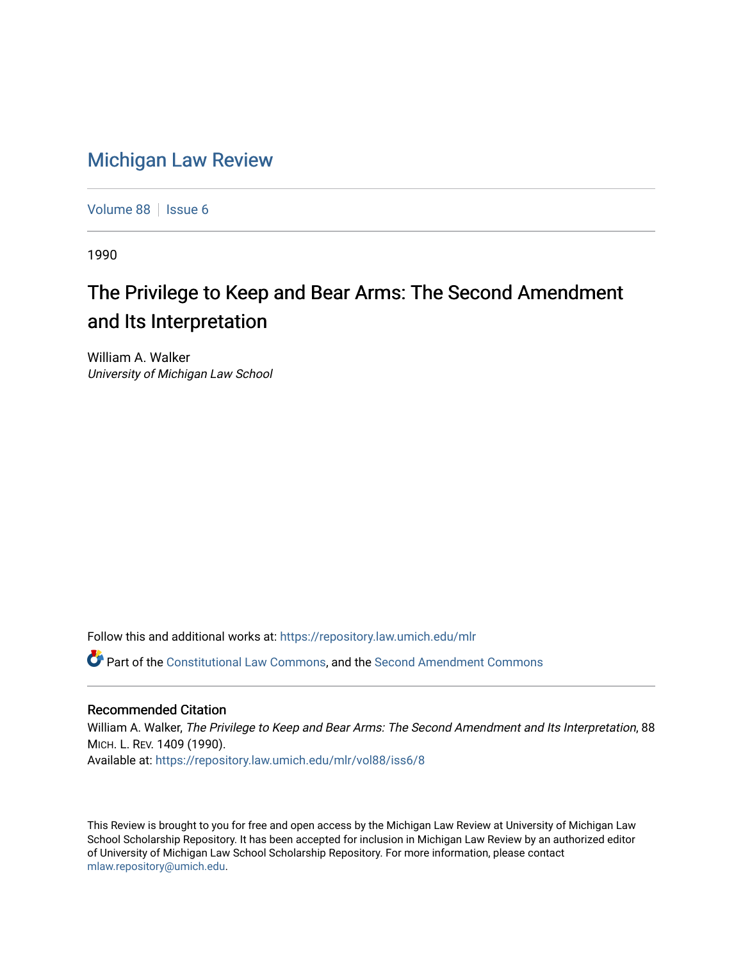# [Michigan Law Review](https://repository.law.umich.edu/mlr)

[Volume 88](https://repository.law.umich.edu/mlr/vol88) | [Issue 6](https://repository.law.umich.edu/mlr/vol88/iss6)

1990

# The Privilege to Keep and Bear Arms: The Second Amendment and Its Interpretation

William A. Walker University of Michigan Law School

Follow this and additional works at: [https://repository.law.umich.edu/mlr](https://repository.law.umich.edu/mlr?utm_source=repository.law.umich.edu%2Fmlr%2Fvol88%2Fiss6%2F8&utm_medium=PDF&utm_campaign=PDFCoverPages) 

Part of the [Constitutional Law Commons,](http://network.bepress.com/hgg/discipline/589?utm_source=repository.law.umich.edu%2Fmlr%2Fvol88%2Fiss6%2F8&utm_medium=PDF&utm_campaign=PDFCoverPages) and the [Second Amendment Commons](http://network.bepress.com/hgg/discipline/1119?utm_source=repository.law.umich.edu%2Fmlr%2Fvol88%2Fiss6%2F8&utm_medium=PDF&utm_campaign=PDFCoverPages) 

## Recommended Citation

William A. Walker, The Privilege to Keep and Bear Arms: The Second Amendment and Its Interpretation, 88 MICH. L. REV. 1409 (1990). Available at: [https://repository.law.umich.edu/mlr/vol88/iss6/8](https://repository.law.umich.edu/mlr/vol88/iss6/8?utm_source=repository.law.umich.edu%2Fmlr%2Fvol88%2Fiss6%2F8&utm_medium=PDF&utm_campaign=PDFCoverPages)

This Review is brought to you for free and open access by the Michigan Law Review at University of Michigan Law School Scholarship Repository. It has been accepted for inclusion in Michigan Law Review by an authorized editor of University of Michigan Law School Scholarship Repository. For more information, please contact [mlaw.repository@umich.edu.](mailto:mlaw.repository@umich.edu)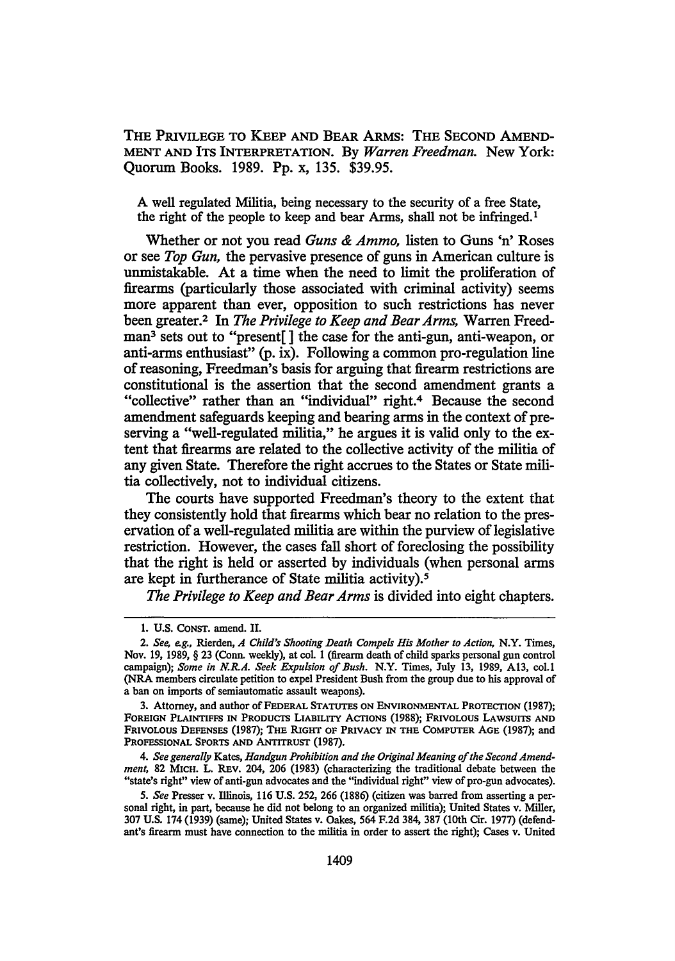THE PRIVILEGE TO KEEP AND BEAR ARMS: THE SECOND AMEND-MENT AND ITS INTERPRETATION. By *Warren Freedman.* New York: Quorum Books. 1989. Pp. x, 135. \$39.95.

A well regulated Militia, being necessary to the security of a free State, the right of the people to keep and bear Arms, shall not be infringed. <sup>1</sup>

Whether or not you read *Guns* & *Ammo,* listen to Guns 'n' Roses or see *Top Gun,* the pervasive presence of guns in American culture is unmistakable. At a time when the need to limit the proliferation of firearms (particularly those associated with criminal activity) seems more apparent than ever, opposition to such restrictions has never been greater.2 In *The Privilege to Keep and Bear Arms,* Warren Freedman3 sets out to "present[ ] the case for the anti-gun, anti-weapon, or anti-arms enthusiast" (p. ix). Following a common pro-regulation line of reasoning, Freedman's basis for arguing that firearm restrictions are constitutional is the assertion that the second amendment grants a "collective" rather than an "individual" right.4 Because the second amendment safeguards keeping and bearing arms in the context of preserving a "well-regulated militia," he argues it is valid only to the extent that firearms are related to the collective activity of the militia of any given State. Therefore the right accrues to the States or State militia collectively, not to individual citizens.

The courts have supported Freedman's theory to the extent that they consistently hold that firearms which bear no relation to the preservation of a well-regulated militia are within the purview of legislative restriction. However, the cases fall short of foreclosing the possibility that the right is held or asserted by individuals (when personal arms are kept in furtherance of State militia activity).5

*The Privilege to Keep and Bear Arms* is divided into eight chapters.

3. Attorney, and author of FEDERAL STATUTES ON ENVIRONMENTAL PROTECTION (1987); FOREIGN PLAINTIFFS IN PRODUCTS LIABILITY ACTIONS (1988); FRIVOLOUS LAWSUITS AND FRIVOLOUS DEFENSES (1987); THE RIGHT OF PRIVACY IN THE COMPUTER AGE (1987); and PROFESSIONAL SPORTS AND ANTITRUST (1987).

4. *See generally* Kates, *Handgun Prohibition and the Original Meaning of the Second Amendment,* 82 MICH. L. REv. 204, 206 (1983) (characterizing the traditional debate between the "state's right" view of anti-gun advocates and the "individual right" view of pro-gun advocates).

5. *See* Presser v. Illinois, 116 U.S. 252, 266 (1886) (citizen was barred from asserting a personal right, in part, because he did not belong to an organized militia); United States v. Miller, 307 U.S. 174 (1939) (same); United States v. Oakes, 564 F.2d 384, 387 (10th Cir. 1977) (defendant's firearm must have connection to the militia in order to assert the right); Cases v. United

<sup>1.</sup> U.S. CoNST. amend. II.

<sup>2.</sup> *See, e.g.,* Rierden, *A Child's Shooting Death Compels His Mother to Action,* N.Y. Times, Nov. 19, 1989, § 23 (Conn. weekly), at col 1 (firearm death of child sparks personal gun control campaign); *Some in N.R.A. Seek Expulsion of Bush.* N.Y. Times, July 13, 1989, Al3, col.I (NRA members circulate petition to expel President Bush from the group due to his approval of a ban on imports of semiautomatic assault weapons).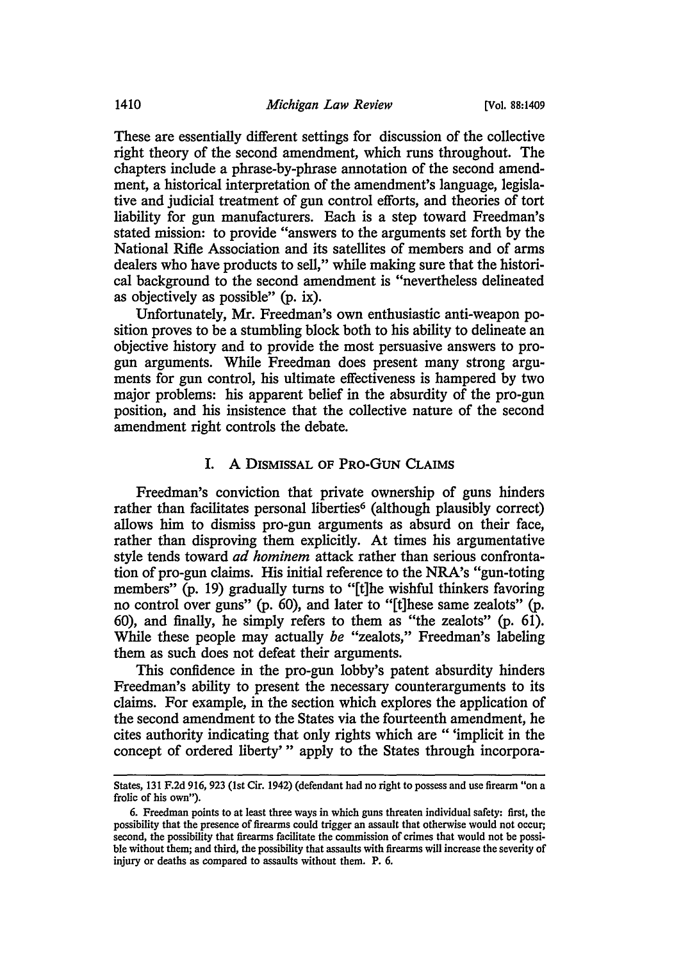These are essentially different settings for discussion of the collective right theory of the second amendment, which runs throughout. The chapters include a phrase-by-phrase annotation of the second amendment, a historical interpretation of the amendment's language, legislative and judicial treatment of gun control efforts, and theories of tort liability for gun manufacturers. Each is a step toward Freedman's stated mission: to provide "answers to the arguments set forth by the National Rifle Association and its satellites of members and of arms dealers who have products to sell," while making sure that the historical background to the second amendment is "nevertheless delineated as objectively as possible" (p. ix).

Unfortunately, Mr. Freedman's own enthusiastic anti-weapon position proves to be a stumbling block both to his ability to delineate an objective history and to provide the most persuasive answers to progun arguments. While Freedman does present many strong arguments for gun control, his ultimate effectiveness is hampered by two major problems: his apparent belief in the absurdity of the pro-gun position, and his insistence that the collective nature of the second amendment right controls the debate.

#### I. A DISMISSAL OF PRO-GUN CLAIMS

Freedman's conviction that private ownership of guns hinders rather than facilitates personal liberties<sup>6</sup> (although plausibly correct) allows him to dismiss pro-gun arguments as absurd on their face, rather than disproving them explicitly. At times his argumentative style tends toward *ad hominem* attack rather than serious confrontation of pro-gun claims. His initial reference to the NRA's "gun-toting members" (p. 19) gradually turns to "[t]he wishful thinkers favoring no control over guns" (p. 60), and later to "[t]hese same zealots" (p. 60), and finally, he simply refers to them as "the zealots" (p. 61). While these people may actually *be* "zealots," Freedman's labeling them as such does not defeat their arguments.

This confidence in the pro-gun lobby's patent absurdity hinders Freedman's ability to present the necessary counterarguments to its claims. For example, in the section which explores the application of the second amendment to the States via the fourteenth amendment, he cites authority indicating that only rights which are " 'implicit in the concept of ordered liberty' " apply to the States through incorpora-

States, 131 F.2d 916, 923 (1st Cir. 1942) (defendant had no right to possess and use firearm "on a frolic of his own").

<sup>6.</sup> Freedman points to at least three ways in which guns threaten individual safety: first, the possibility that the presence of firearms could trigger an assault that otherwise would not occur; second, the possibility that firearms facilitate the commission of crimes that would not be possible without them; and third, the possibility that assaults with firearms will increase the severity of injury or deaths as compared to assaults without them. P. 6.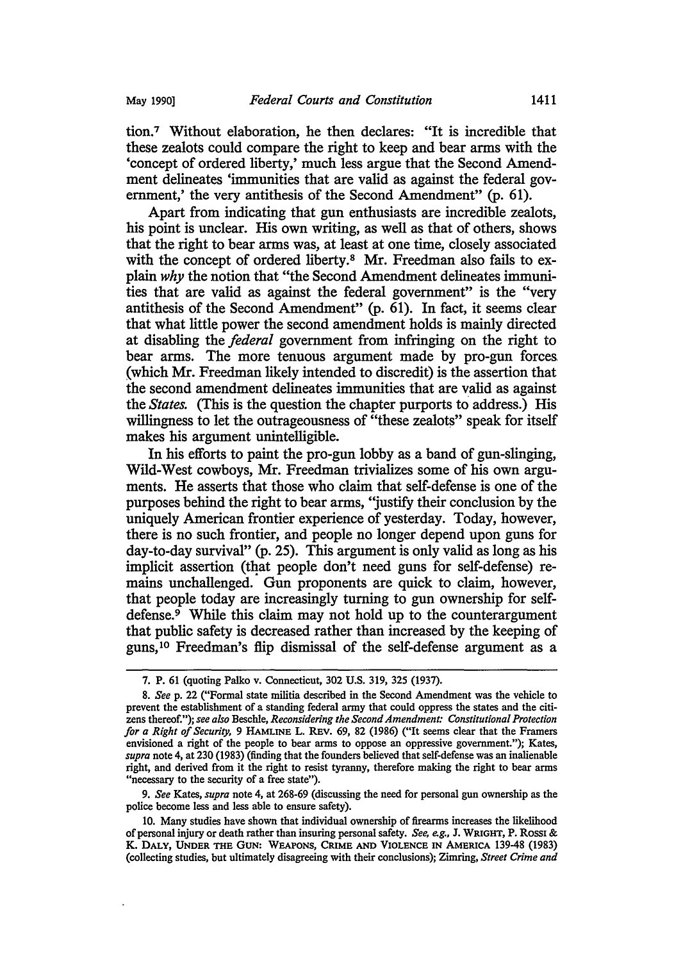tion.7 Without elaboration, he then declares: "It is incredible that these zealots could compare the right to keep and bear arms with the 'concept of ordered liberty,' much less argue that the Second Amendment delineates 'immunities that are valid as against the federal government,' the very antithesis of the Second Amendment" (p. 61).

Apart from indicating that gun enthusiasts are incredible zealots, his point is unclear. His own writing, as well as that of others, shows that the right to bear arms was, at least at one time, closely associated with the concept of ordered liberty.<sup>8</sup> Mr. Freedman also fails to explain *why* the notion that "the Second Amendment delineates immunities that are valid as against the federal government" is the "very antithesis of the Second Amendment" (p. 61). In fact, it seems clear that what little power the second amendment holds is mainly directed at disabling the *federal* government from infringing on the right to bear arms. The more tenuous argument made by pro-gun forces. (which Mr. Freedman likely intended to discredit) is the assertion that the second amendment delineates immunities that are valid as against the *States.* (This is the question the chapter purports to address.) His willingness to let the outrageousness of "these zealots" speak for itself makes his argument unintelligible.

In his efforts to paint the pro-gun lobby as a band of gun-slinging, Wild-West cowboys, Mr. Freedman trivializes some of his own arguments. He asserts that those who claim that self-defense is one of the purposes behind the right to bear arms, ''justify their conclusion by the uniquely American frontier experience of yesterday. Today, however, there is no such frontier, and people no longer depend upon guns for day-to-day survival" (p. 25). This argument is only valid as long as his implicit assertion (that people don't need guns for self-defense) remains unchallenged. Gun proponents are quick to claim, however, that people today are increasingly turning to gun ownership for selfdefense.<sup>9</sup> While this claim may not hold up to the counterargument that public safety is decreased rather than increased by the keeping of guns, 10 Freedman's flip dismissal of the self-defense argument as a

9. *See* Kates, *supra* note 4, at 268-69 (discussing the need for personal gun ownership as the police become less and less able to ensure safety).

10. Many studies have shown that individual ownership of firearms increases the likelihood of personal injury or death rather than insuring personal safety. *See, e.g.,* J. WRIGHT, P. Rossi & K. DALY, UNDER THE GUN: WEAPONS, CRIME AND VIOLENCE IN AMERICA 139-48 (1983) (collecting studies, but ultimately disagreeing with their conclusions); Zimring, *Street Crime and* 

<sup>7.</sup> P. 61 (quoting Palko v. Connecticut, 302 U.S. 319, 325 (1937).

<sup>8.</sup> *See* p. 22 ("Formal state militia described in the Second Amendment was the vehicle to prevent the establishment of a standing federal army that could oppress the states and the citizens thereof."); *see also* Beschle, *Reconsidering the Second Amendment: Constitutional Protection for a Right of Security,* 9 HAMLINE L. REv. 69, 82 (1986) ("It seems clear that the Framers envisioned a right of the people to bear arms to oppose an oppressive government."); Kates, *supra* note 4, at 230 (1983) (finding that the founders believed that self-defense was an inalienable right, and derived from it the right to resist tyranny, therefore making the right to bear arms "necessary to the security of a free state").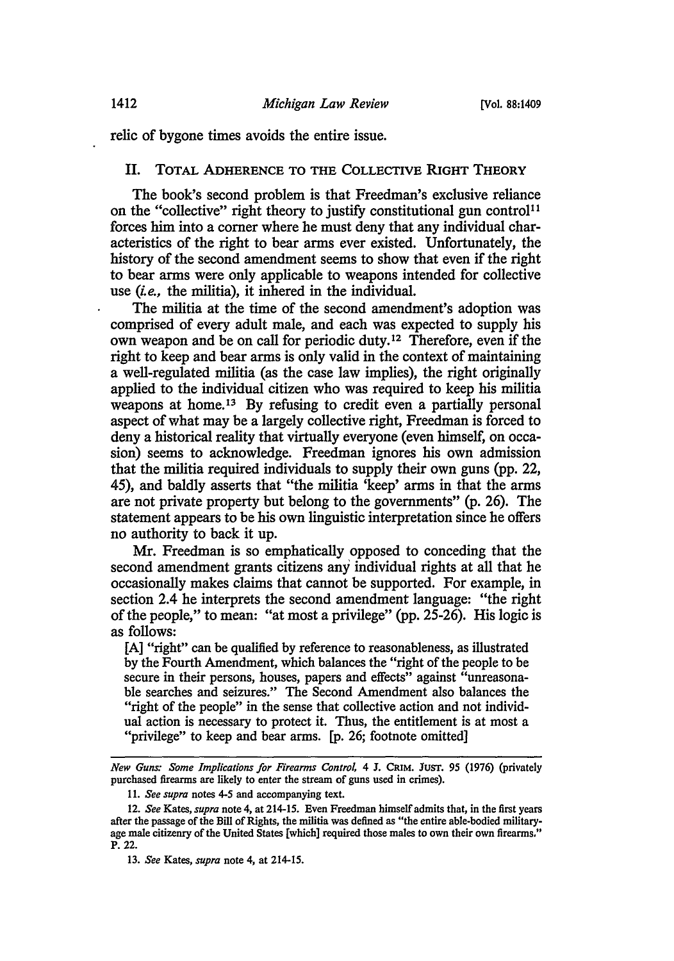relic of bygone times avoids the entire issue.

### II. TOTAL ADHERENCE TO THE COLLECTIVE RIGHT THEORY

The book's second problem is that Freedman's exclusive reliance on the "collective" right theory to justify constitutional gun control<sup>11</sup> forces him into a corner where he must deny that any individual characteristics of the right to bear arms ever existed. Unfortunately, the history of the second amendment seems to show that even if the right to bear arms were only applicable to weapons intended for collective use *(i.e.,* the militia), it inhered in the individual.

The militia at the time of the second amendment's adoption was comprised of every adult male, and each was expected to supply his own weapon and be on call for periodic duty. 12 Therefore, even if the right to keep and bear arms is only valid in the context of maintaining a well-regulated militia (as the case law implies), the right originally applied to the individual citizen who was required to keep his militia weapons at home.<sup>13</sup> By refusing to credit even a partially personal aspect of what may be a largely collective right, Freedman is forced to deny a historical reality that virtually everyone (even himself, on occasion) seems to acknowledge. Freedman ignores his own admission that the militia required individuals to supply their own guns (pp. 22, 45), and baldly asserts that "the militia 'keep' arms in that the arms are not private property but belong to the governments" (p. 26). The statement appears to be his own linguistic interpretation since he offers no authority to back it up.

Mr. Freedman is so emphatically opposed to conceding that the second amendment grants citizens any individual rights at all that he occasionally makes claims that cannot be supported. For example, in section 2.4 he interprets the second amendment language: "the right of the people," to mean: "at most a privilege" (pp. 25-26). His logic is as follows:

[A] "right" can be qualified by reference to reasonableness, as illustrated by the Fourth Amendment, which balances the "right of the people to be secure in their persons, houses, papers and effects" against "unreasonable searches and seizures." The Second Amendment also balances the "right of the people" in the sense that collective action and not individual action is necessary to protect it. Thus, the entitlement is at most a "privilege" to keep and bear arms. [p. 26; footnote omitted]

*New Guns: Some Implications for Firearms Control,* 4 J. CRIM. JUST. *95* (1976) (privately purchased firearms are likely to enter the stream of guns used in crimes).

<sup>11.</sup> *See supra* notes 4-5 and accompanying text.

<sup>12.</sup> *See* Kates, *supra* note 4, at 214-15. Even Freedman himself admits that, in the first years after the passage of the Bill of Rights, the militia was defined as "the entire able·bodied militaryage male citizenry of the United States [which] required those males to own their own firearms." P. 22.

<sup>13.</sup> *See* Kates, *supra* note 4, at 214-15.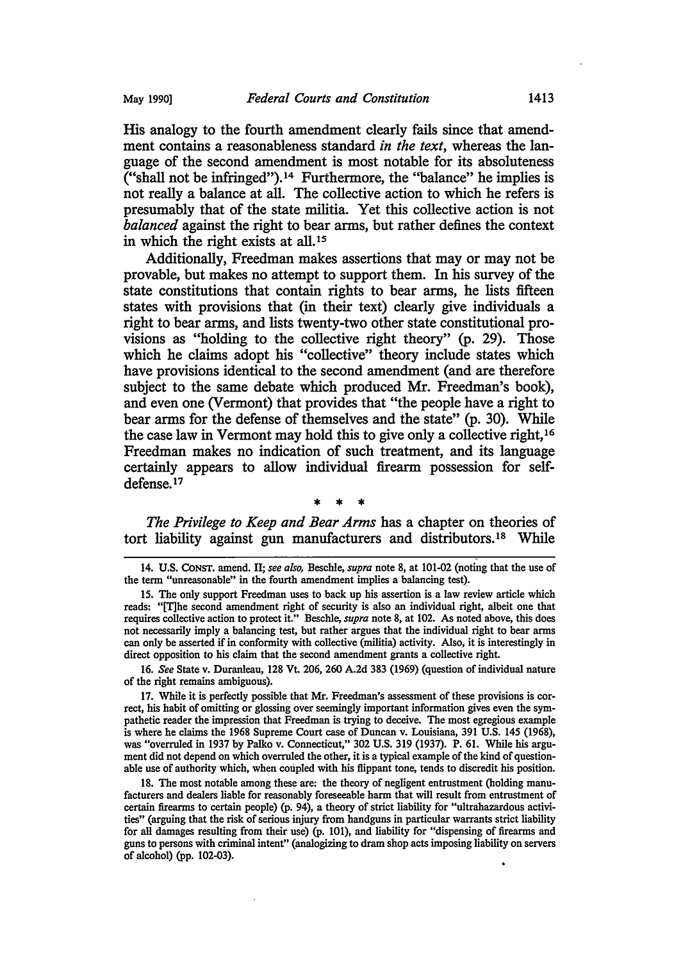His analogy to the fourth amendment clearly fails since that amendment contains a reasonableness standard *in the text,* whereas the language of the second amendment is most notable for its absoluteness ("shall not be infringed"). 14 Furthermore, the "balance" he implies is not really a balance at all. The collective action to which he refers is presumably that of the state militia. Yet this collective action is not *balanced* against the right to bear arms, but rather defines the context in which the right exists at all.<sup>15</sup>

Additionally, Freedman makes assertions that may or may not be provable, but makes no attempt to support them. In his survey of the state constitutions that contain rights to bear arms, he lists fifteen states with provisions that (in their text) clearly give individuals a right to bear arms, and lists twenty-two other state constitutional provisions as "holding to the collective right theory" (p. 29). Those which he claims adopt his "collective" theory include states which have provisions identical to the second amendment (and are therefore subject to the same debate which produced Mr. Freedman's book), and even one (Vermont) that provides that "the people have a right to bear arms for the defense of themselves and the state" (p. 30). While the case law in Vermont may hold this to give only a collective right, 16 Freedman makes no indication of such treatment, and its language certainly appears to allow individual firearm possession for selfdefense.17

\* \* \*

*The Privilege to Keep and Bear Arms* has a chapter on theories of tort liability against gun manufacturers and distributors.<sup>18</sup> While

16. *See* State v. Duranleau, 128 Vt. 206, 260 A.2d 383 (1969) (question of individual nature of the right remains ambiguous).

17. While it is perfectly possible that Mr. Freedman's assessment of these provisions is correct, his habit of omitting or glossing over seemingly important information gives even the sympathetic reader the impression that Freedman is trying to deceive. The most egregious example is where he claims the 1968 Supreme Court case of Duncan v. Louisiana, 391 U.S. 145 (1968), was "overruled in 1937 by Palko v. Connecticut," 302 U.S. 319 (1937). P. 61. While his argument did not depend on which overruled the other, it is a typical example of the kind of questionable use of authority which, when coupled with his flippant tone, tends to discredit his position.

18. The most notable among these are: the theory of negligent entrustment (holding manufacturers and dealers liable for reasonably foreseeable harm that will result from entrustment of certain firearms to certain people) (p. 94), a theory of strict liability for "ultrahazardous activities" (arguing that the risk of serious injury from handguns in particular warrants strict liability for all damages resulting from their use) (p. 101), and liability for "dispensing of firearms and guns to persons with criminal intent" (analogizing to dram shop acts imposing liability on servers of alcohol) (pp. 102-03).

<sup>-</sup> 14. U.S. CoNST. amend. II; *see also,* Beschle, *supra* note 8, at 101-02 (noting that the use of the term "unreasonable" in the fourth amendment implies a balancing test).

<sup>15.</sup> The only support Freedman uses to back up his assertion is a law review article which reads: "[T]he second amendment right of security is also an individual right, albeit one that requires collective action to protect it." Beschle, *supra* note 8, at 102. *As* noted above, this does not necessarily imply a balancing test, but rather argues that the individual right to bear arms can only be asserted if in conformity with collective (militia) activity. Also, it is interestingly in direct opposition to his claim that the second amendment grants a collective right.